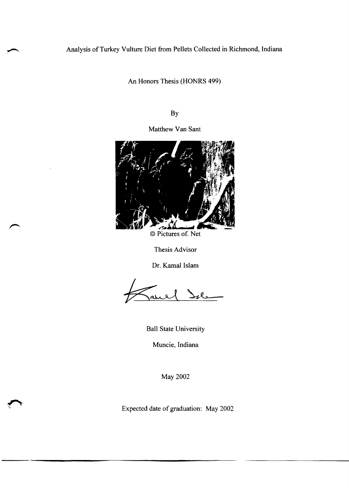## Analysis of Turkey Vulture Diet from Pellets Collected in Richmond, Indiana

An Honors Thesis (HONRS 499)

By

Matthew Van Sant



© Pictures of. Net

Thesis Advisor

Dr. Kamal Islam

Ball State University

Muncie, Indiana

May 2002

Expected date of graduation: May 2002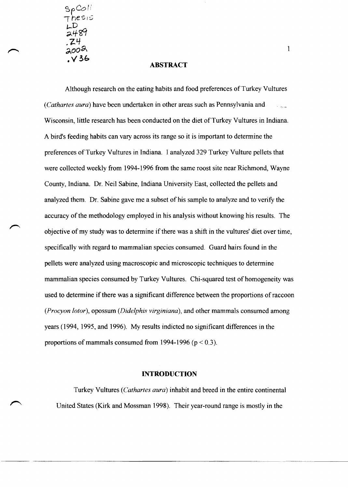SpCoI:'  $he$ si  $\mathsf{L}^{\mathsf{D}}$ *;;.,lfcCt*  .Z4 200a

# • **" ?"i:> ABSTRACT**

Although research on the eating habits and food preferences of Turkey Vultures *(Cathartes aura)* have been undertaken in other areas such as Pennsylvania and Wisconsin, little research has been conducted on the diet of Turkey Vultures in Indiana. A bird's feeding habits can vary across its range so it is important to determine the preferences of Turkey Vultures in Indiana. I analyzed 329 Turkey Vulture pellets that were collected weekly from 1994-1996 from the same roost site near Richmond, Wayne County, Indiana. Dr. Neil Sabine, Indiana University East, collected the pellets and analyzed them. Dr. Sabine gave me a subset of his sample to analyze and to verify the accuracy of the methodology employed in his analysis without knowing his results. The objective of my study was to determine if there was a shift in the vultures' diet over time, specifically with regard to mammalian species consumed. Guard hairs found in the pellets were analyzed using macroscopic and microscopic techniques to determine mammalian species consumed by Turkey Vultures. Chi-squared test of homogeneity was used to determine if there was a significant difference between the proportions of raccoon *(Procyon lotor),* opossum *(Didelphis virginiana),* and other mammals consumed among years (1994, 1995, and 1996). My results indicted no significant differences in the proportions of mammals consumed from 1994-1996  $(p < 0.3)$ .

#### **INTRODUCTION**

Turkey Vultures *(Cathartes aura)* inhabit and breed in the entire continental United States (Kirk and Mossman 1998). Their year-round range is mostly in the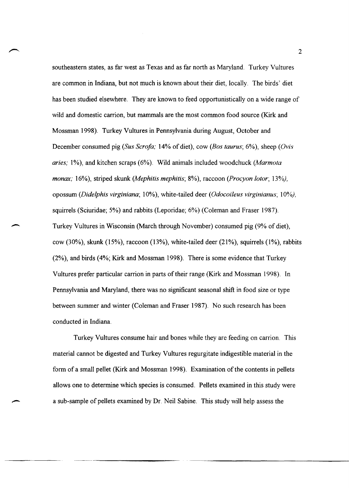southeastern states, as far west as Texas and as far north as Maryland. Turkey Vultures are common in Indiana, but not much is known about their diet, locally. The birds' diet has been studied elsewhere. They are known to feed opportunistically on a wide range of wild and domestic carrion, but mammals are the most common food source (Kirk and Mossman 1998). Turkey Vultures in Pennsylvania during August, October and December consumed pig *(Sus Serofa;* 14% of diet), cow *(Bas taurus;* 6%), sheep *(Ovis aries;* 1%), and kitchen scraps (6%). Wild animals included woodchuck *(Marmota monax;* 16%), striped skunk *(Mephitis mephitis;* 8%), raccoon *(Procyon lotor; 13%),*  opossum *(Didelphis virginiana;* 10%), white-tailed deer *(Odocoileus virginianus; 10%),*  squirrels (Sciuridae; 5%) and rabbits (Leporidae; 6%) (Coleman and Fraser 1987). Turkey Vultures in Wisconsin (March through November) consumed pig (9% of diet), cow (30%), skunk (15%), raccoon (13%), white-tailed deer (21%), squirrels (1%), rabbits (2%), and birds (4%; Kirk and Mossman 1998). There is some evidence that Turkey Vultures prefer particular carrion in parts of their range (Kirk and Mossman 1998). In Pennsylvania and Maryland, there was no significant seasonal shift in food size or type between summer and winter (Coleman and Fraser 1987). No such research has been conducted in Indiana.

 $\overline{\phantom{0}}$ 

Turkey Vultures consume hair and bones while they are feeding on carrion. This material cannot be digested and Turkey Vultures regurgitate indigestible material in the form of a small pellet (Kirk and Mossman 1998). Examination of the contents in pellets allows one to determine which species is consumed. Pellets examined in this study were a sub-sample of pellets examined by Dr. Neil Sabine. This study will help assess the

~~~~~-------------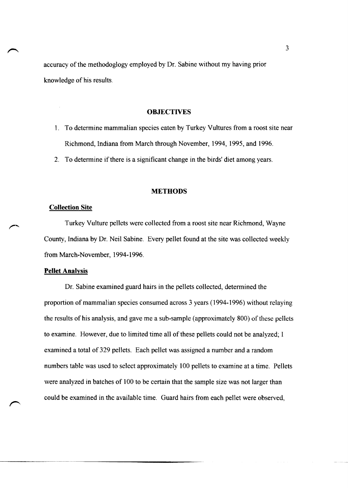accuracy of the methodoglogy employed by Dr. Sabine without my having prior knowledge of his results.

#### **OBJECTIVES**

- 1. To determine mammalian species eaten by Turkey Vultures from a roost site near Richmond, Indiana from March through November, 1994, 1995, and 1996.
- 2. To determine if there is a significant change in the birds' diet among years.

#### **METHODS**

#### **Collection Site**

Turkey Vulture pellets were collected from a roost site near Richmond, Wayne County, Indiana by Dr. Neil Sabine. Every pellet found at the site was collected weekly from March·November, 1994~ 1996.

#### **Pellet Analysis**

Dr. Sabine examined guard hairs in the pellets collected, determined the proportion of mammalian species consumed across 3 years (1994-1996) without relaying the results of his analysis, and gave me a sub~sample (approximately 800) of these pellets to examine. However, due to limited time all of these pellets could not be analyzed; I examined a total of 329 pellets. Each pellet was assigned a number and a random numbers table was used to select approximately 100 pellets to examine at a time. Pellets were analyzed in batches of 100 to be certain that the sample size was not larger than could be examined in the available time. Guard hairs from each pellet were observed,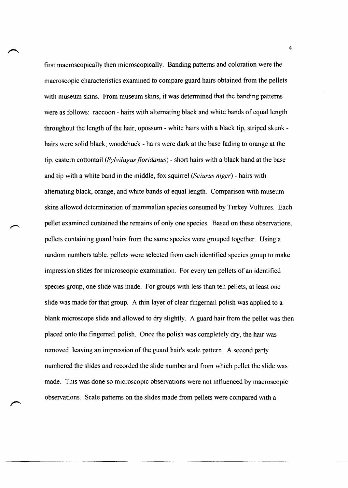first macroscopically then microscopically. Banding patterns and coloration were the macroscopic characteristics examined to compare guard hairs obtained from the pellets with museum skins. From museum skins, it was determined that the banding patterns were as follows: raccoon - hairs with alternating black and white bands of equal length throughout the length of the hair, opossum - white hairs with a black tip, striped skunk hairs were solid black, woodchuck - hairs were dark at the base fading to orange at the tip, eastern cottontail *(Sylvilagus jloridanus)* - short hairs with a black band at the base and tip with a white band in the middle, fox squirrel *(Sciurus niger)* - hairs with alternating black, orange, and white bands of equal length. Comparison with museum skins allowed determination of mammalian species consumed by Turkey Vultures. Each pellet examined contained the remains of only one species. Based on these observations, pellets containing guard hairs from the same species were grouped together. Using a random numbers table, pellets were selected from each identified species group to make impression slides for microscopic examination. For every ten pellets of an identified species group, one slide was made. For groups with less than ten pellets, at least one slide was made for that group. A thin layer of clear fingernail polish was applied to a blank microscope slide and allowed to dry slightly. A guard hair from the pellet was then placed onto the fingernail polish. Once the polish was completely dry, the hair was removed, leaving an impression of the guard hair's scale pattern. A second party numbered the slides and recorded the slide number and from which pellet the slide was made. This was done so microscopic observations were not influenced by macroscopic observations. Scale patterns on the slides made from pellets were compared with a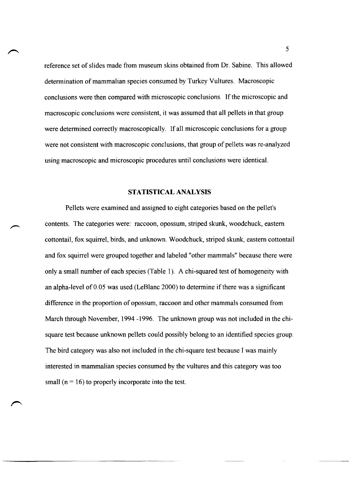reference set of slides made from museum skins obtained from Dr. Sabine. This allowed determination of mammalian species consumed by Turkey Vultures. Macroscopic conclusions were then compared with microscopic conclusions. If the microscopic and macroscopic conclusions were consistent, it was assumed that all pellets in that group were determined correctly macroscopically. If all microscopic conclusions for a group were not consistent with macroscopic conclusions, that group of pellets was re-analyzed using macroscopic and microscopic procedures until conclusions were identical.

#### STATISTICAL ANALYSIS

Pellets were examined and assigned to eight categories based on the pellet's contents. The categories were: raccoon, opossum, striped skunk, woodchuck, eastern cottontail, fox squirrel, birds, and unknown. Woodchuck, striped skunk, eastern cottontail and fox squirrel were grouped together and labeled "other mammals" because there were only a small number of each species (Table 1). A chi-squared test of homogeneity with an alpha-level of 0.05 was used (LeBlanc 2000) to determine if there was a significant difference in the proportion of opossum, raccoon and other mammals consumed from March through November, 1994 -1996. The unknown group was not included in the chisquare test because unknown pellets could possibly belong to an identified species group. The bird category was also not included in the chi-square test because I was mainly interested in mammalian species consumed by the vultures and this category was too small ( $n = 16$ ) to properly incorporate into the test.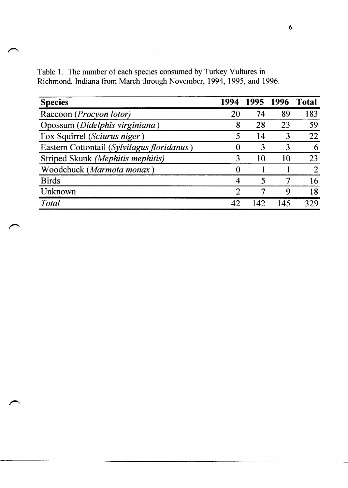| <b>Species</b>                             | 1994 | 1995 | 1996 | Total |
|--------------------------------------------|------|------|------|-------|
| Raccoon (Procyon lotor)                    | 20   | 74   | 89   | 183   |
| Opossum (Didelphis virginiana)             | 8    | 28   | 23   | 59    |
| Fox Squirrel (Sciurus niger)               |      | 14   | 3    | 22    |
| Eastern Cottontail (Sylvilagus floridanus) |      | 3    |      | 6     |
| Striped Skunk (Mephitis mephitis)          |      | 10   | 10   | 23    |
| Woodchuck (Marmota monax)                  |      |      |      |       |
| <b>Birds</b>                               |      |      |      | 16    |
| Unknown                                    | റ    | ┑    | Ч    | 18    |
| <b>Total</b>                               | 42   |      | 145  | 329   |

Table 1. The number of each species consumed by Turkey Vultures in Richmond, Indiana from March through November, 1994, 1995, and 1996.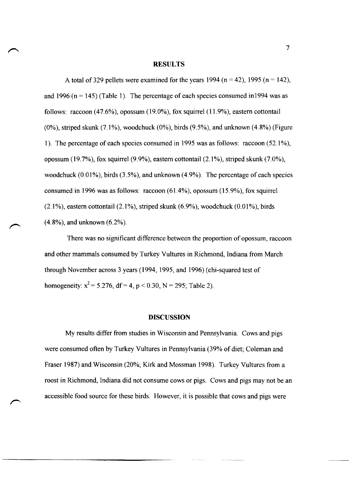#### **RESULTS**

A total of 329 pellets were examined for the years 1994 (n = 42), 1995 (n = 142), and 1996 ( $n = 145$ ) (Table 1). The percentage of each species consumed in 1994 was as follows: raccoon (47.6%), opossum (19.0%), fox squirrel (11.9%), eastern cottontail  $(0\%)$ , striped skunk  $(7.1\%)$ , woodchuck  $(0\%)$ , birds  $(9.5\%)$ , and unknown  $(4.8\%)$  (Figure 1). The percentage of each species consumed in 1995 was as follows: raccoon (52.1%), opossum (19.7%), fox squirrel (9.9%), eastern cottontail (2.1%), striped skunk (7.0%), woodchuck (0.01%), birds (3.5%), and unknown (4.9%). The percentage of each species consumed in 1996 was as follows: raccoon (61.4%), opossum (15.9%), fox squirrel  $(2.1\%)$ , eastern cottontail  $(2.1\%)$ , striped skunk  $(6.9\%)$ , woodchuck  $(0.01\%)$ , birds (4.8%), and unknown (6.2%).

There was no significant difference between the proportion of opossum, raccoon and other mammals consumed by Turkey Vultures in Richmond, Indiana from March through November across 3 years (1994,1995, and 1996) (chi-squared test of homogeneity:  $x^2 = 5.276$ , df = 4, p < 0.30, N = 295; Table 2).

#### **DISCUSSION**

My results differ from studies in Wisconsin and Pennsylvania. Cows and pigs were consumed often by Turkey Vultures in Pennsylvania (39% of diet; Coleman and Fraser 1987) and Wisconsin (20%; Kirk and Mossman 1998). Turkey Vultures from a roost in Richmond, Indiana did not consume cows or pigs. Cows and pigs may not be an accessible food source for these birds. However, it is possible that cows and pigs were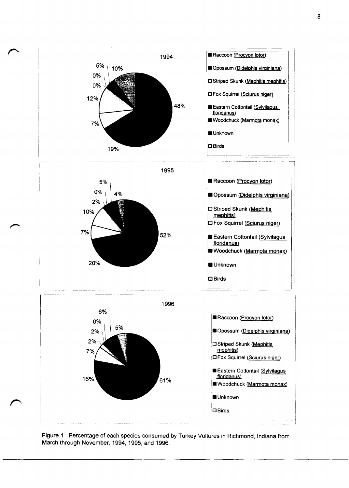

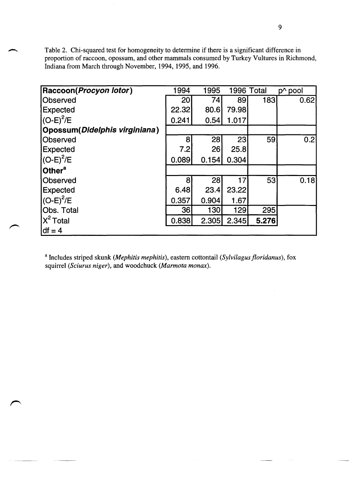Table 2. Chi-squared test for homogeneity to determine if there is a significant difference in proportion of raccoon, opossum, and other mammals consumed by Turkey Vultures in Richmond, Indiana from March through November, 1994, 1995, and 1996.

| Raccoon(Procyon lotor)         | 1994            | 1995        |       | 1996 Total | p^ pool |
|--------------------------------|-----------------|-------------|-------|------------|---------|
| <b>Observed</b>                | 20 <sub>l</sub> | 74          | 89    | 183        | 0.62    |
| <b>Expected</b>                | 22.32           | 80.6        | 79.98 |            |         |
| $(C-E)^2/E$                    | 0.241           | 0.54        | 1.017 |            |         |
| Opossum (Didelphis virginiana) |                 |             |       |            |         |
| Observed                       | 8 <sup>1</sup>  | 28          | 23    | 59         | 0.2     |
| <b>Expected</b>                | 7.2             | 26          | 25.8  |            |         |
| $(C-E)^2/E$                    | 0.089           | 0.154       | 0.304 |            |         |
| Other <sup>a</sup>             |                 |             |       |            |         |
| Observed                       | 81              | 28          | 17    | 53         | [0.18]  |
| <b>Expected</b>                | 6.48            | 23.4        | 23.22 |            |         |
| $(C-E)^2/E$                    | 0.357           | 0.904       | 1.67  |            |         |
| Obs. Total                     | 36 <sup>2</sup> | <b>130l</b> | 129   | 295        |         |
| $X^2$ Total                    | 0.838           | 2.305       | 2.345 | 5.276      |         |
| $df = 4$                       |                 |             |       |            |         |

<sup>a</sup> Includes striped skunk *(Mephitis mephitis)*, eastern cottontail *(Sylvilagus floridanus)*, fox squirrel *(Sciurus niger)*, and woodchuck *(Marmota monax)*.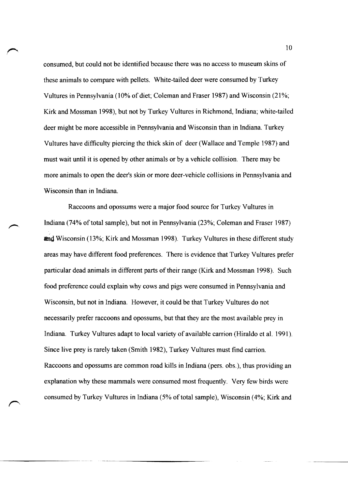consumed, but could not be identified because there was no access to museum skins of these animals to compare with pellets. White-tailed deer were consumed by Turkey Vultures in Pennsylvania (10% of diet; Coleman and Fraser 1987) and Wisconsin (21%; Kirk and Mossman 1998), but not by Turkey Vultures in Richmond, Indiana; white-tailed deer might be more accessible in Pennsylvania and Wisconsin than in Indiana. Turkey Vultures have difficulty piercing the thick skin of deer (Wallace and Temple 1987) and must wait until it is opened by other animals or by a vehicle collision. There may be more animals to open the deer's skin or more deer-vehicle collisions in Pennsylvania and Wisconsin than in Indiana.

Raccoons and opossums were a major food source for Turkey Vultures in Indiana (74% of total sample), but not in Pennsylvania (23%; Coleman and Fraser 1987) **and** Wisconsin (13%; Kirk and Mossman 1998). Turkey Vultures in these different study areas may have different food preferences. There is evidence that Turkey Vultures prefer particular dead animals in different parts of their range (Kirk and Mossman 1998). Such food preference could explain why cows and pigs were consumed in Pennsylvania and Wisconsin, but not in Indiana. However, it could be that Turkey Vultures do not necessarily prefer raccoons and opossums, but that they are the most available prey in Indiana. Turkey Vultures adapt to local variety of available carrion (Hiraldo et al. 1991). Since live prey is rarely taken (Smith 1982), Turkey Vultures must find carrion. Raccoons and opossums are common road kills in Indiana (pers. obs.), thus providing an explanation why these mammals were consumed most frequently. Very few birds were consumed by Turkey Vultures in Indiana (5% of total sample), Wisconsin (4%; Kirk and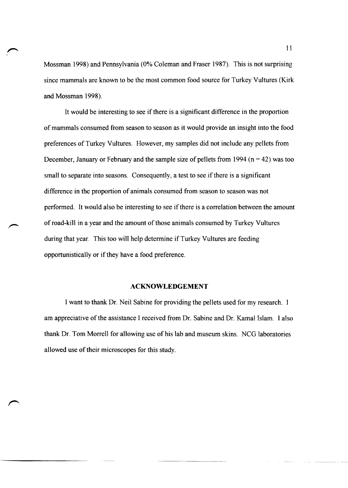Mossman 1998) and Pennsylvania (0% Coleman and Fraser 1987). This is not surprising since mammals are known to be the most common food source for Turkey Vultures (Kirk and Mossman 1998).

It would be interesting to see if there is a significant difference in the proportion of mammals consumed from season to season as it would provide an insight into the food preferences of Turkey Vultures. However, my samples did not include any pellets from December, January or February and the sample size of pellets from 1994 ( $n = 42$ ) was too small to separate into seasons. Consequently, a test to see if there is a significant difference in the proportion of animals consumed from season to season was not performed. It would also be interesting to see if there is a correlation between the amount of road-kill in a year and the amount of those animals consumed by Turkey Vultures during that year. This too will help determine if Turkey Vultures are feeding opportunistically or if they have a food preference.

#### **ACKNOWLEDGEMENT**

I want to thank Dr. Neil Sabine for providing the pellets used for my research. I am appreciative of the assistance I received from Dr. Sabine and Dr. Kamal Islam. I also thank Dr. Tom Morrell for allowing use of his lab and museum skins. NCG laboratories allowed use of their microscopes for this study.